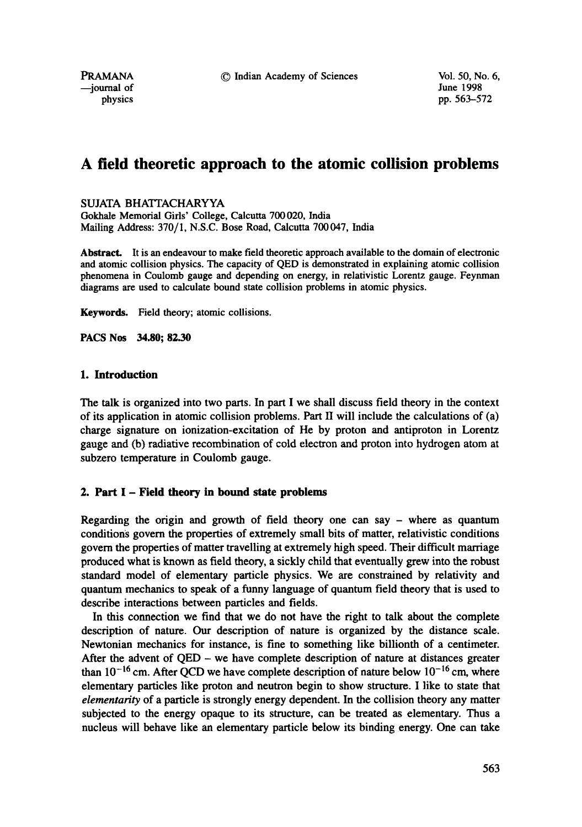PRAMANA **C** Indian Academy of Sciences Vol. 50, No. 6,<br>
—iournal of June 1998

physics pp. 563–572

# **A field theoretic approach to the atomic collision problems**

# SUJATA BHATTACHARYYA

Gokhale Memorial Girls' College, Calcutta 700 020, India Mailing Address: 370/1, N.S.C. Bose Road, Calcutta 700047, India

Abstract. It is an endeavour to make field theoretic approach available to the domain of electronic and atomic collision physics. The capacity of QED is demonstrated in explaining atomic collision phenomena in Coulomb gauge and depending on energy, in relativistic Lorentz gauge. Feynman diagrams are used to calculate bound state collision problems in atomic physics.

**Keywords.** Field theory; atomic collisions.

**PACS Nos 34.80; 82.30** 

# **1. Introduction**

The talk is organized into two parts. In part I we shall discuss field theory in the context of its application in atomic collision problems. Part II will include the calculations of (a) charge signature on ionization-excitation of He by proton and antiproton in Lorentz gauge and (b) radiative recombination of cold electron and proton into hydrogen atom at subzero temperature in Coulomb gauge.

# **2. Part I - Field theory in bound state problems**

Regarding the origin and growth of field theory one can say  $-$  where as quantum conditions govern the properties of extremely small bits of matter, relativistic conditions govern the properties of matter travelling at extremely high speed. Their difficult marriage produced what is known as field theory, a sickly child that eventually grew into the robust standard model of elementary particle physics. We are constrained by relativity and quantum mechanics to speak of a funny language of quantum field theory that is used to describe interactions between particles and fields.

In this connection we find that we do not have the right to talk about the complete description of nature. Our description of nature is organized by the distance scale. Newtonian mechanics for instance, is fine to something like billionth of a centimeter. After the advent of QED  $-$  we have complete description of nature at distances greater than  $10^{-16}$  cm. After QCD we have complete description of nature below  $10^{-16}$  cm, where elementary particles like proton and neutron begin to show structure. I like to state that *elementarity* of a particle is strongly energy dependent. In the collision theory any matter subjected to the energy opaque to its structure, can be treated as elementary. Thus a nucleus will behave like an elementary particle below its binding energy. One can take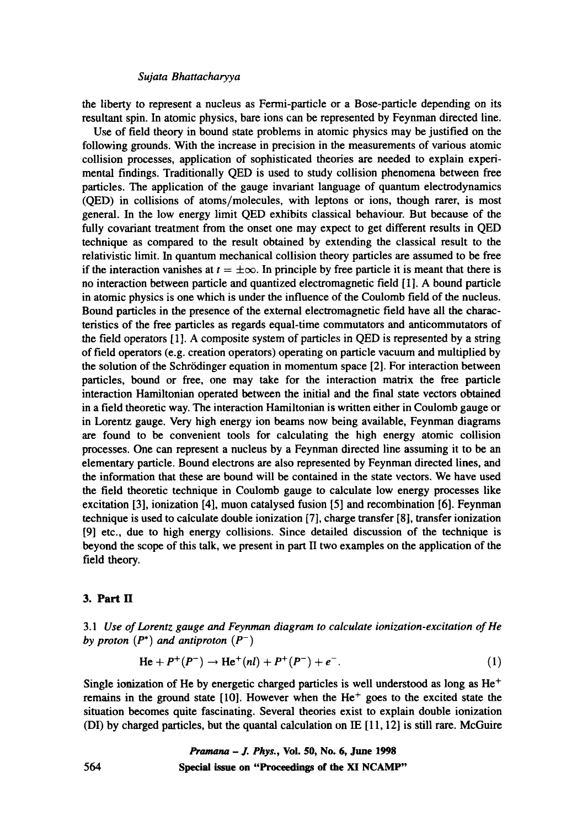the liberty to represent a nucleus as Fermi-particle or a Bose-particle depending on its resultant spin. In atomic physics, bare ions can be represented by Feynman directed line.

Use of field theory in bound state problems in atomic physics may be justified on the following grounds. With the increase in precision in the measurements of various atomic collision processes, application of sophisticated theories are needed to explain experimental findings. Traditionally QED is used to study collision phenomena between free particles. The application of the gauge invariant language of quantum electrodynamics (QED) in collisions of atoms/molecules, with leptons or ions, though rarer, is most general. In the low energy limit QED exhibits classical behaviour. But because of the fully covariant treatment from the onset one may expect to get different results in QED technique as compared to the result obtained by extending the classical result to the relativistic limit. In quantum mechanical collision theory particles are assumed to be free if the interaction vanishes at  $t = \pm \infty$ . In principle by free particle it is meant that there is no interaction between particle and quantized electromagnetic field [1]. A bound particle in atomic physics is one which is under the influence of the Coulomb field of the nucleus. Bound particles in the presence of the external electromagnetic field have all the characteristics of the free particles as regards equal-time commutators and anticommutators of the field operators [1]. A composite system of particles in QED is represented by a string of field operators (e.g. creation operators) operating on particle vacuum and multiplied by the solution of the Schrödinger equation in momentum space [2]. For interaction between particles, bound or free, one may take for the interaction matrix the free particle interaction Hamiltonian operated between the initial and the final state vectors obtained in a field theoretic way. The interaction Hamiltonian is written either in Coulomb gauge or in Lorentz gauge. Very high energy ion beams now being available, Feynman diagrams are found to be convenient tools for calculating the high energy atomic collision processes. One can represent a nucleus by a Feynman directed line assuming it to be an elementary particle. Bound electrons are also represented by Feynman directed lines, and the information that these are bound will be contained in the state vectors. We have used the field theoretic technique in Coulomb gauge to calculate low energy processes like excitation [3], ionization [4], muon catalysed fusion [5] and recombination [6]. Feynman technique is used to calculate double ionization [7], charge transfer [8], transfer ionization [9] etc., due to high energy collisions. Since detailed discussion of the technique is beyond the scope of this talk, we present in part II two examples on the application of the field theory.

## **3. Part H**

3.1 *Use of Lorentz gauge and Feynman diagram to calculate ionization-excitation of He by proton*  $(P^*)$  *and antiproton*  $(P^-)$ 

$$
\text{He} + P^+(P^-) \to \text{He}^+(nl) + P^+(P^-) + e^-.
$$
 (1)

Single ionization of He by energetic charged particles is well understood as long as  $He<sup>+</sup>$ remains in the ground state  $[10]$ . However when the He<sup>+</sup> goes to the excited state the situation becomes quite fascinating. Several theories exist to explain double ionization (DI) by charged particles, but the quantal calculation on IE [11, 12] is still rare. McGuire

> *Pramana - y. Phys.,* **Vol. 50, No. 6, June 1998 Special issue on "Proceedings of the XI NCAMP"**

564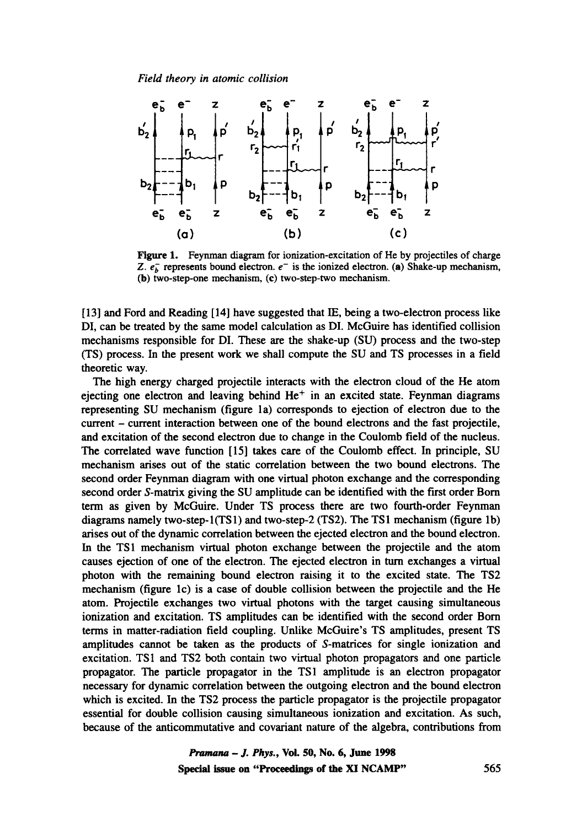*Field theory in atomic collision* 



Figure 1. Feynman diagram for ionization-excitation of He by projectiles of charge Z.  $e_n^r$  represents bound electron,  $e^-$  is the ionized electron. (a) Shake-up mechanism, **(b)** two-step-one mechanism, (c) two-step-two mechanism.

[13] and Ford and Reading [14] have suggested that IE, being a two-electron process like DI, can be treated by the same model calculation as DI. McGuire has identified collision mechanisms responsible for DI. These are the shake-up (SU) process and the two-step (TS) process. In the present work we shall compute the SU and TS processes in a field theoretic way.

The high energy charged projectile interacts with the electron cloud of the He atom ejecting one electron and leaving behind  $He<sup>+</sup>$  in an excited state. Feynman diagrams representing SU mechanism (figure 1a) corresponds to ejection of electron due to the current - current interaction between one of the bound electrons and the fast projectile, and excitation of the second electron due to change in the Coulomb field of the nucleus. The correlated wave function [15] takes care of the Coulomb effect. In principle, SU mechanism arises out of the static correlation between the two bound electrons. The second order Feynman diagram with one virtual photon exchange and the corresponding second order S-matrix giving the SU amplitude can be identified with the first order Born term as given by McGuire. Under TS process there are two fourth-order Feynman diagrams namely two-step-l(TS1) and two-step-2 (TS2). The TS1 mechanism (figure lb) arises out of the dynamic correlation between the ejected electron and the bound electron. In the TSI mechanism virtual photon exchange between the projectile and the atom causes ejection of one of the electron. The ejected electron in turn exchanges a virtual photon with the remaining bound electron raising it to the excited state. The TS2 mechanism (figure lc) is a case of double collision between the projectile and the He atom. Projectile exchanges two virtual photons with the target causing simultaneous ionization and excitation. TS amplitudes can be identified with the second order Born terms in matter-radiation field coupling. Unlike McGuire's TS amplitudes, present TS amplitudes cannot be taken as the products of S-matrices for single ionization and excitation. TS1 and TS2 both contain two virtual photon propagators and one particle propagator. The particle propagator in the TS1 amplitude is an electron propagator necessary for dynamic correlation between the outgoing electron and the bound electron which is excited. In the TS2 process the particle propagator is the projectile propagator essential for double collision causing simultaneous ionization and excitation. As such, because of the anticommutative and covariant nature of the algebra, contributions from

> *Pramana - J. Phys.,* **Vol. 50, No. 6, June 1998 Special issue on "Proceedings of the XI NCAMP"** 565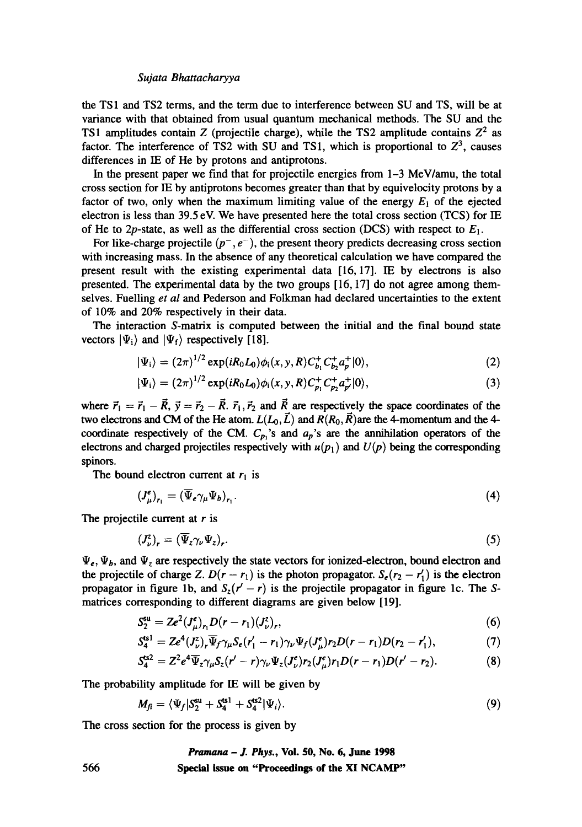the TS 1 and TS2 terms, and the term due to interference between SU and TS, will be at variance with that obtained from usual quantum mechanical methods. The SU and the TS1 amplitudes contain Z (projectile charge), while the TS2 amplitude contains  $Z^2$  as factor. The interference of TS2 with SU and TS1, which is proportional to  $Z<sup>3</sup>$ , causes differences in IE of He by protons and antiprotons.

In the present paper we find that for projectile energies from 1-3 MeV/amu, the total cross section for IE by antiprotons becomes greater than that by equivelocity protons by a factor of two, only when the maximum limiting value of the energy  $E_1$  of the ejected electron is less than 39.5 eV. We have presented here the total cross section (TCS) for IE of He to 2p-state, as well as the differential cross section (DCS) with respect to  $E_1$ .

For like-charge projectile  $(p^-, e^-)$ , the present theory predicts decreasing cross section with increasing mass. In the absence of any theoretical calculation we have compared the present result with the existing experimental data [16, 17]. IE by electrons is also presented. The experimental data by the two groups [16, 17] do not agree among themselves. Fuelling *et al* and Pederson and Folkman had declared uncertainties to the extent of 10% and 20% respectively in their data.

The interaction S-matrix is computed between the initial and the final bound state vectors  $|\Psi_i\rangle$  and  $|\Psi_f\rangle$  respectively [18].

$$
|\Psi_i\rangle = (2\pi)^{1/2} \exp(iR_0L_0)\phi_i(x, y, R)C_{b_1}^+ C_{b_2}^+ a_p^+ |0\rangle, \qquad (2)
$$

$$
|\Psi_i\rangle = (2\pi)^{1/2} \exp(iR_0L_0)\phi_i(x, y, R) C_{p_1}^+ C_{p_2}^+ a_p^+ |0\rangle, \tag{3}
$$

where  $\vec{r}_1 = \vec{r}_1 - \vec{R}$ ,  $\vec{y} = \vec{r}_2 - \vec{R}$ .  $\vec{r}_1$ ,  $\vec{r}_2$  and  $\vec{R}$  are respectively the space coordinates of the two electrons and CM of the He atom.  $L(L_0, \vec{L})$  and  $R(R_0, \vec{R})$  are the 4-momentum and the 4coordinate respectively of the CM.  $C_{p_1}$ 's and  $a_p$ 's are the annihilation operators of the electrons and charged projectiles respectively with  $u(p_1)$  and  $U(p)$  being the corresponding spinors.

The bound electron current at  $r_1$  is

$$
(J_{\mu}^{\epsilon})_{r_1} = (\overline{\Psi}_e \gamma_{\mu} \Psi_b)_{r_1}.
$$

The projectile current at  $r$  is

$$
(J_{\nu}^{z})_{r} = (\overline{\Psi}_{z}\gamma_{\nu}\Psi_{z})_{r}.
$$

 $\Psi_e$ ,  $\Psi_b$ , and  $\Psi_z$  are respectively the state vectors for ionized-electron, bound electron and the projectile of charge *Z.*  $D(r - r_1)$  is the photon propagator.  $S_e(r_2 - r'_1)$  is the electron propagator in figure 1b, and  $S_r(r'-r)$  is the projectile propagator in figure 1c. The Smatrices corresponding to different diagrams are given below [19].

$$
S_2^{\rm su} = Ze^2(J_{\mu}^e)_{r_1}D(r - r_1)(J_{\nu}^z)_{r},\qquad(6)
$$

$$
S_4^{\text{ts1}} = Ze^4(J_\nu^z)_r \overline{\Psi}_f \gamma_\mu S_e(r_1'-r_1) \gamma_\nu \Psi_f(J_\mu^e) r_2 D(r-r_1)D(r_2-r_1'),\tag{7}
$$

$$
S_4^{s2} = Z^2 e^4 \overline{\Psi}_z \gamma_\mu S_z (r'-r) \gamma_\nu \Psi_z (J_\nu^e) r_2 (J_\mu^e) r_1 D(r-r_1) D(r'-r_2). \tag{8}
$$

The probability amplitude for IE will be given by

$$
M_{fi} = \langle \Psi_f | S_2^{\rm su} + S_4^{\rm ts1} + S_4^{\rm ts2} | \Psi_i \rangle.
$$
 (9)

The cross section for the process is given by

*Pramana - J. Phys.,* **Vol. 50, No. 6, June 1998 Special issue on "Proceedings of the XI NCAMP"** 

566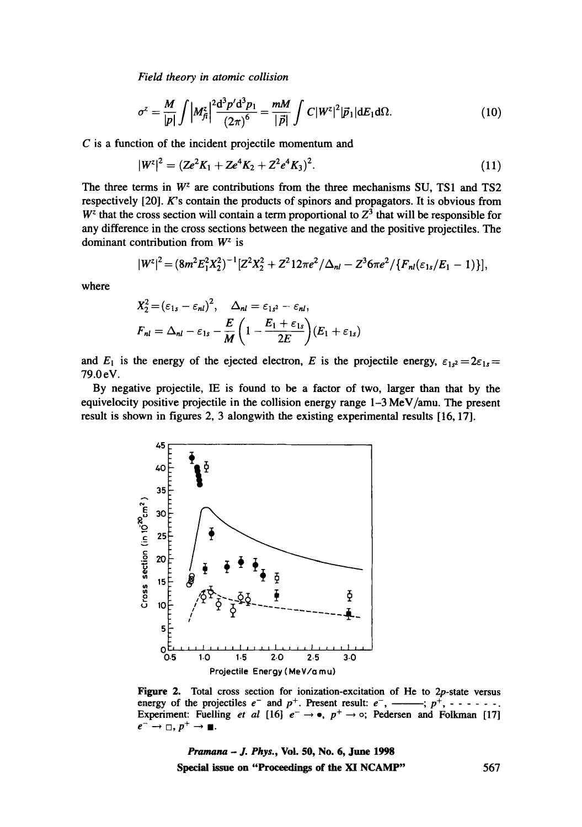*Field theory in atomic collision* 

$$
\sigma^{z} = \frac{M}{|p|} \int \left| M_{\vec{p}}^{z} \right|^{2} \frac{d^{3} p' d^{3} p_{1}}{(2\pi)^{6}} = \frac{mM}{|\vec{p}|} \int C|W^{z}|^{2} |\vec{p}_{1}| dE_{1} d\Omega. \tag{10}
$$

 $C$  is a function of the incident projectile momentum and

$$
|W^z|^2 = (Ze^2K_1 + Ze^4K_2 + Z^2e^4K_3)^2.
$$
 (11)

The three terms in  $W^z$  are contributions from the three mechanisms SU, TS1 and TS2 respectively [20]. K's contain the products of spinors and propagators. It is obvious from  $W<sup>z</sup>$  that the cross section will contain a term proportional to  $Z<sup>3</sup>$  that will be responsible for any difference in the cross sections between the negative and the positive projectiles. The dominant contribution from  $W^z$  is

$$
|W^z|^2 = (8m^2 E_1^2 X_2^2)^{-1} [Z^2 X_2^2 + Z^2 12\pi e^2/\Delta_{nl} - Z^3 6\pi e^2/\{F_{nl}(\varepsilon_{1s}/E_1 - 1)\}],
$$

where

$$
X_2^2 = (\varepsilon_{1s} - \varepsilon_{nl})^2, \quad \Delta_{nl} = \varepsilon_{1s^2} - \varepsilon_{nl},
$$
  

$$
F_{nl} = \Delta_{nl} - \varepsilon_{1s} - \frac{E}{M} \left( 1 - \frac{E_1 + \varepsilon_{1s}}{2E} \right) (E_1 + \varepsilon_{1s})
$$

and  $E_1$  is the energy of the ejected electron, E is the projectile energy,  $\varepsilon_{1,2}=2\varepsilon_{1,3}=$ 79.0 eV.

By negative projectile, IE is found to be a factor of two, larger than that by the equivelocity positive projectile in the collision energy range 1-3 MeV/amu. The present result is shown in figures 2, 3 alongwith the existing experimental results [16, 17].



Figure 2. Total cross section for ionization-excitation of He to 2p-state versus energy of the projectiles  $e^-$  and  $p^+$ . Present result:  $e^-$ ,  $-\cdots$ ;  $p^+$ ,  $- \cdots$ . Experiment: Fuelling *et al* [16]  $e^- \rightarrow \bullet$ ,  $p^+ \rightarrow \circ$ ; Pedersen and Folkman [17]  $e^- \rightarrow \Box, p^+ \rightarrow \blacksquare$ .

*Pramana - J. Phys.,* **Voi. 50, No. 6, June 1998 Special issue on "Proceedings of the XI NCAMP"** 567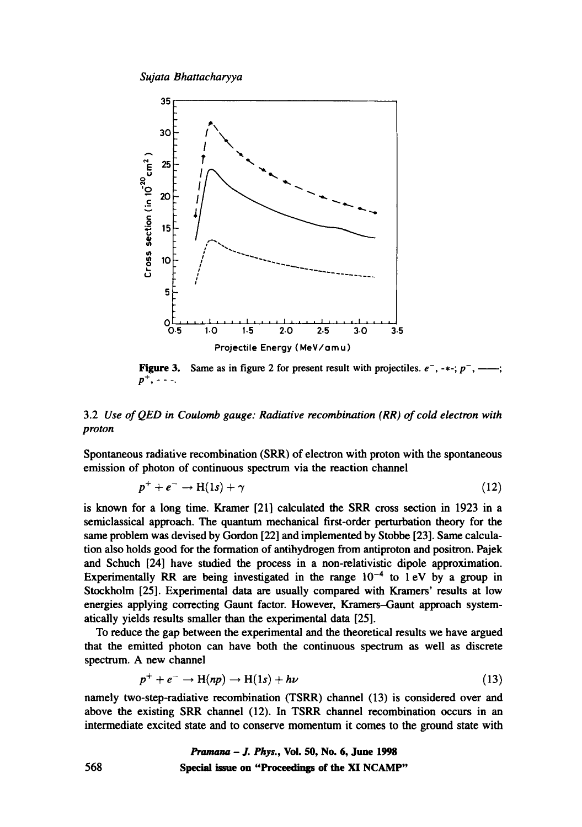

**Figure 3.**   $p^+$ ,  $-$ . Same as in figure 2 for present result with projectiles,  $e^-$ , -\*-;  $p^-$ , -

# 3.2 *Use of QED in Coulomb gauge: Radiative recombination (RR) of cold electron with proton*

Spontaneous radiative recombination (SRR) of electron with proton with the spontaneous emission of photon of continuous spectrum via the reaction channel

$$
p^+ + e^- \to H(1s) + \gamma \tag{12}
$$

is known for a long time. Kramer [21] calculated the SRR cross section in 1923 in a semiclassical approach. The quantum mechanical first-order perturbation theory for the same problem was devised by Gordon [22] and implemented by Stobbe [23]. Same calculation also holds good for the formation of antihydrogen from antiproton and positron. Pajek and Schuch [24] have studied the process in a non-relativistic dipole approximation. Experimentally RR are being investigated in the range  $10^{-4}$  to  $1 \text{ eV}$  by a group in Stockholm [25]. Experimental data are usually compared with Kramers' results at low energies applying correcting Gaunt factor. However, Kramers--Gaunt approach systematically yields results smaller than the experimental data [25].

To reduce the gap between the experimental and the theoretical results we have argued that the emitted photon can have both the continuous spectrum as well as discrete spectrum. A new channel

$$
p^{+} + e^{-} \rightarrow H(np) \rightarrow H(1s) + h\nu
$$
 (13)

namely two-step-radiative recombination (TSRR) channel (13) is considered over and above the existing SRR channel (12). In TSRR channel recombination occurs in an intermediate excited state and to conserve momentum it comes to the ground state with

> *Pramana - J. Phys.,* **Vol. 50, No. 6, June 1998 Special issue on "Proceedings of the Xl NCAMP"**

568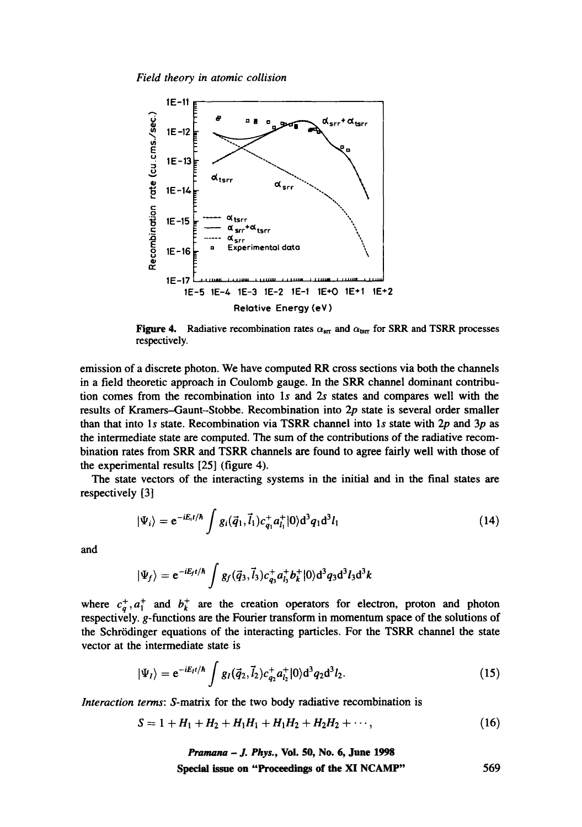

**Figure 4.** Radiative recombination rates  $\alpha_{\text{str}}$  and  $\alpha_{\text{tar}}$  for SRR and TSRR processes respectively.

emission of a discrete photon. We have computed RR cross sections via both the channels in a field theoretic approach in Coulomb gauge. In the SRR channel dominant contribution comes from the recombination into Is and 2s states and compares well with the results of Kramers-Gaunt-Stobbe. Recombination into  $2p$  state is several order smaller than that into 1s state. Recombination via TSRR channel into 1s state with 2p and 3p as the intermediate state are computed. The sum of the contributions of the radiative recombination rates from SRR and TSRR channels are found to agree fairly well with those of the experimental results [25] (figure 4).

The state vectors of the interacting systems in the initial and in the final states are respectively [3]

$$
|\Psi_i\rangle = e^{-iE_i t/\hbar} \int g_i(\vec{q}_1, \vec{l}_1) c_{q_1}^+ a_{l_1}^+ |0\rangle d^3 q_1 d^3 l_1
$$
 (14)

and

$$
|\Psi_f\rangle = e^{-iE_f t/\hbar} \int g_f(\vec{q}_3, \vec{l}_3) c_{q_3}^+ a_{l_3}^+ b_k^+ |0\rangle d^3 q_3 d^3 l_3 d^3 k
$$

where  $c_a^+, a_1^+$  and  $b_k^+$  are the creation operators for electron, proton and photon respectively, g-functions are the Fourier transform in momentum space of the solutions of the Schrödinger equations of the interacting particles. For the TSRR channel the state vector at the intermediate state is

$$
|\Psi_{I}\rangle = e^{-iE_{I}t/\hbar} \int g_{I}(\vec{q}_{2}, \vec{l}_{2}) c_{q_{2}}^{+} a_{l_{2}}^{+} |0\rangle d^{3} q_{2} d^{3} l_{2}. \qquad (15)
$$

*Interaction terms:* S-matrix for the two body radiative recombination is

$$
S = 1 + H_1 + H_2 + H_1H_1 + H_1H_2 + H_2H_2 + \cdots, \tag{16}
$$

*Pramana - J. Phys.,* **Vol. 50, No. 6, June 1998 Special issue on "Proceedings of the XI NCAMP"** 569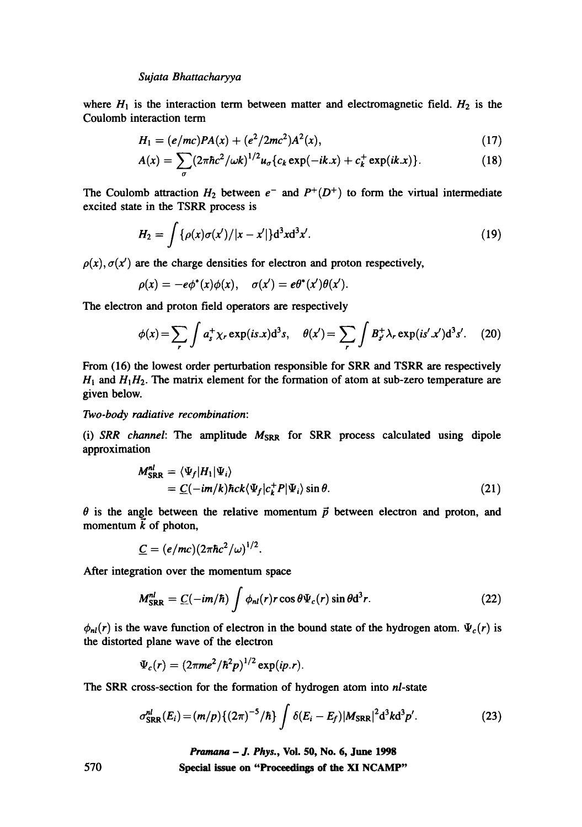where  $H_1$  is the interaction term between matter and electromagnetic field.  $H_2$  is the Coulomb interaction term

$$
H_1 = (e/mc)PA(x) + (e^2/2mc^2)A^2(x),
$$
\n(17)

$$
A(x) = \sum_{\sigma} (2\pi \hbar c^2/\omega k)^{1/2} u_{\sigma} \{c_k \exp(-ik.x) + c_k^+ \exp(ik.x)\}.
$$
 (18)

The Coulomb attraction  $H_2$  between  $e^-$  and  $P^+(D^+)$  to form the virtual intermediate excited state in the TSRR process is

$$
H_2 = \int {\rho(x)\sigma(x')}/{|x-x'|} d^3x d^3x'.
$$
 (19)

 $\rho(x)$ ,  $\sigma(x')$  are the charge densities for electron and proton respectively,

$$
\rho(x) = -e\phi^*(x)\phi(x), \quad \sigma(x') = e\theta^*(x')\theta(x').
$$

The electron and proton field operators are respectively

$$
\phi(x) = \sum_{r} \int a_s^+ \chi_r \exp(isx) \mathrm{d}^3 s, \quad \theta(x') = \sum_{r} \int B_{s'}^+ \lambda_r \exp(is'x') \mathrm{d}^3 s'. \quad (20)
$$

From (16) the lowest order perturbation responsible for SRR and TSRR are respectively  $H_1$  and  $H_1H_2$ . The matrix element for the formation of atom at sub-zero temperature are given below.

*Two-body radiative recombination:* 

(i) *SRR channel*: The amplitude  $M_{\text{SRR}}$  for SRR process calculated using dipole approximation

$$
M_{\text{SRR}}^{nl} = \langle \Psi_f | H_1 | \Psi_i \rangle
$$
  
= 
$$
\underline{C}(-im/k) \hbar ck \langle \Psi_f | c_k^+ P | \Psi_i \rangle \sin \theta.
$$
 (21)

 $\theta$  is the angle between the relative momentum  $\vec{p}$  between electron and proton, and momentum  $\vec{k}$  of photon,

$$
\underline{C}=(e/mc)(2\pi\hbar c^2/\omega)^{1/2}.
$$

After integration over the momentum space

$$
M_{\text{SRR}}^{nl} = \underline{C}(-im/\hbar) \int \phi_{nl}(r) r \cos \theta \Psi_c(r) \sin \theta \mathrm{d}^3 r. \tag{22}
$$

 $\phi_{nl}(r)$  is the wave function of electron in the bound state of the hydrogen atom.  $\Psi_c(r)$  is the distorted plane wave of the electron

$$
\Psi_c(r)=(2\pi me^2/\hbar^2p)^{1/2}\exp(ip.r).
$$

The SRR cross-section for the formation of hydrogen atom into nl-state

$$
\sigma_{\rm SRR}^{nl}(E_i) = (m/p) \{ (2\pi)^{-5}/\hbar \} \int \delta(E_i - E_f) |M_{\rm SRR}|^2 d^3k d^3p'.
$$
 (23)

*Pramana - J. Phys.,* Vol. 50, No. 6, June 1998

570 Special issue on "Proceedings **of the XI NCAMP"**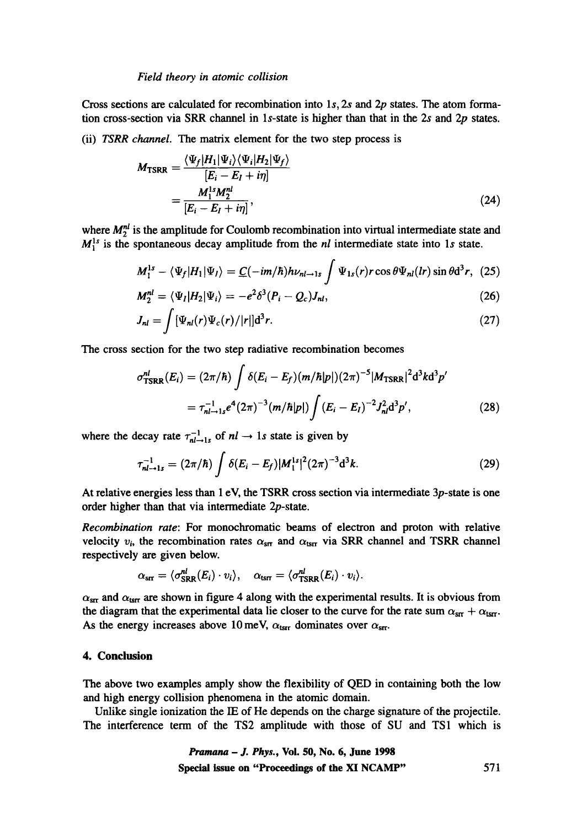#### *Field theory in atomic collision*

Cross sections are calculated for recombination into 1s,  $2s$  and  $2p$  states. The atom formation cross-section via SRR channel in ls-state is higher than that in the 2s and 2p states.

(ii) *TSRR channel. The* matrix element for the two step process is

$$
M_{\text{TSRR}} = \frac{\langle \Psi_f | H_1 | \Psi_i \rangle \langle \Psi_i | H_2 | \Psi_f \rangle}{[E_i - E_I + i\eta]}
$$

$$
= \frac{M_1^{1s} M_2^{nl}}{[E_i - E_I + i\eta]},\tag{24}
$$

where  $M_2^{nl}$  is the amplitude for Coulomb recombination into virtual intermediate state and  $M_1^{1s}$  is the spontaneous decay amplitude from the *nl* intermediate state into 1s state.

$$
M_1^{1s} - \langle \Psi_f | H_1 | \Psi_I \rangle = \underline{C}(-im/\hbar)h\nu_{nl \to 1s} \int \Psi_{1s}(r)r\cos\theta\Psi_{nl}(lr)\sin\theta d^3r, (25)
$$

$$
M_2^{nl} = \langle \Psi_I | H_2 | \Psi_i \rangle = -e^2 \delta^3 (P_i - Q_c) J_{nl}, \qquad (26)
$$

$$
J_{nl} = \int \left[ \Psi_{nl}(r) \Psi_c(r) / |r| \right] d^3r. \tag{27}
$$

The cross section for the two step radiative recombination becomes

$$
\sigma_{\text{TSRR}}^{nl}(E_i) = (2\pi/\hbar) \int \delta(E_i - E_f) (m/\hbar|p|) (2\pi)^{-5} |M_{\text{TSRR}}|^2 \mathrm{d}^3 k \mathrm{d}^3 p'
$$
  
=  $\tau_{nl \to 1s}^{-1} e^4 (2\pi)^{-3} (m/\hbar|p|) \int (E_i - E_I)^{-2} J_{nl}^2 \mathrm{d}^3 p',$  (28)

where the decay rate  $\tau_{nl \to 1s}^{-1}$  of  $nl \to 1s$  state is given by

$$
\tau_{nl \to 1s}^{-1} = (2\pi/\hbar) \int \delta(E_i - E_f) |M_1^{1s}|^2 (2\pi)^{-3} d^3k. \tag{29}
$$

At relative energies less than 1 eV, the TSRR cross section via intermediate 3p-state is **one**  order higher than that via intermediate 2p-state.

*Recombination rate:* For monochromatic beams of electron and proton with relative velocity  $v_i$ , the recombination rates  $\alpha_{\text{sr}}$  and  $\alpha_{\text{tsr}}$  via SRR channel and TSRR channel respectively are given below.

$$
\alpha_{\rm srr}=\langle \sigma_{\rm SRR}^{nl}(E_i)\cdot v_i\rangle, \quad \alpha_{\rm tsm}=\langle \sigma_{\rm TSRR}^{nl}(E_i)\cdot v_i\rangle.
$$

 $\alpha_{\text{str}}$  and  $\alpha_{\text{tsr}}$  are shown in figure 4 along with the experimental results. It is obvious from the diagram that the experimental data lie closer to the curve for the rate sum  $\alpha_{\rm{sr}} + \alpha_{\rm{tsr}}$ . As the energy increases above 10 meV,  $\alpha_{\text{tsrr}}$  dominates over  $\alpha_{\text{srr}}$ .

# **4. Conclusion**

The above two examples amply show the flexibility of QED in containing both the low and high energy collision phenomena in the atomic domain.

Unlike single ionization the IE of He depends on the charge signature of the projectile. The interference term of the TS2 amplitude with those of SU and TS1 which is

> *Pramana - J. Phys.,* **Vol. 50, No. 6, June 1998 Special issue on "Proceedings of the XI NCAMP"** 571